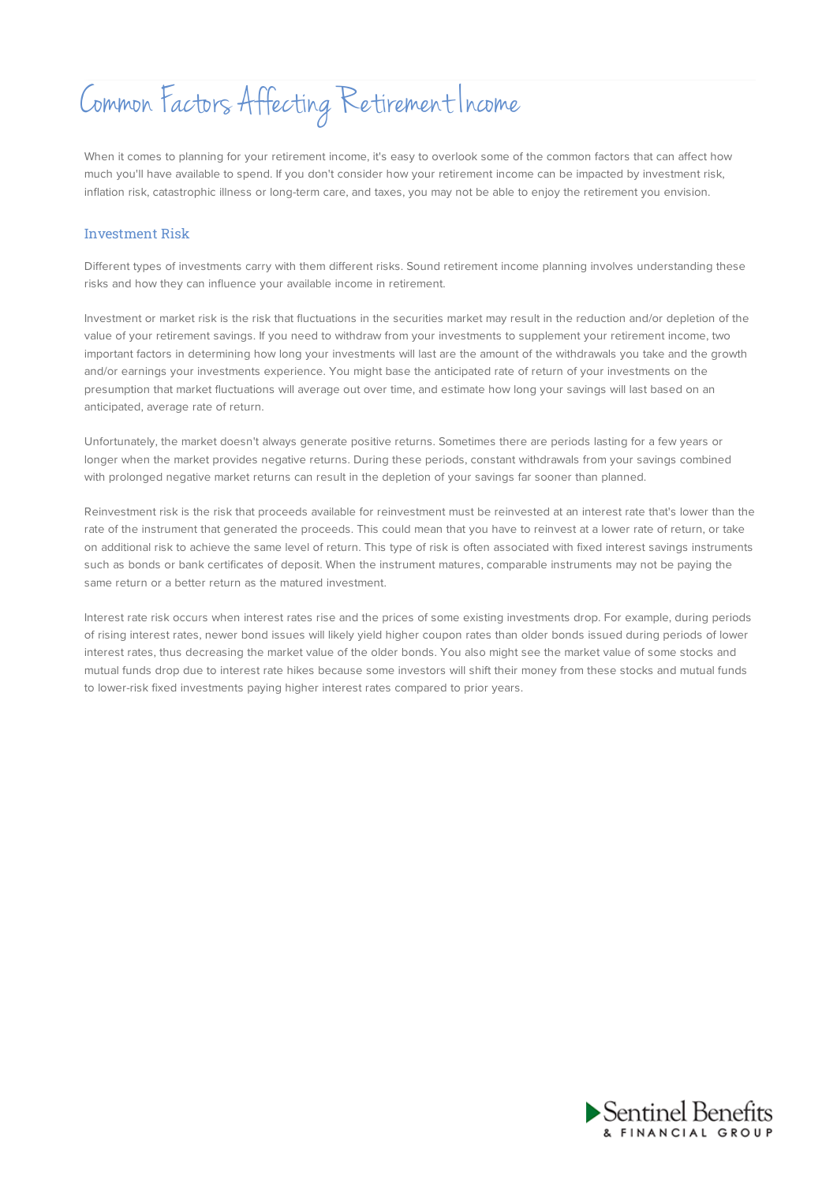# Common Factors Affecting Retirement Income

When it comes to planning for your retirement income, it's easy to overlook some of the common factors that can affect how much you'll have available to spend. If you don't consider how your retirement income can be impacted by investment risk, inflation risk, catastrophic illness or long-term care, and taxes, you may not be able to enjoy the retirement you envision.

## Investment Risk

Different types of investments carry with them different risks. Sound retirement income planning involves understanding these risks and how they can influence your available income in retirement.

Investment or market risk is the risk that fluctuations in the securities market may result in the reduction and/or depletion of the value of your retirement savings. If you need to withdraw from your investments to supplement your retirement income, two important factors in determining how long your investments will last are the amount of the withdrawals you take and the growth and/or earnings your investments experience. You might base the anticipated rate of return of your investments on the presumption that market fluctuations will average out over time, and estimate how long your savings will last based on an anticipated, average rate of return.

Unfortunately, the market doesn't always generate positive returns. Sometimes there are periods lasting for a few years or longer when the market provides negative returns. During these periods, constant withdrawals from your savings combined with prolonged negative market returns can result in the depletion of your savings far sooner than planned.

Reinvestment risk is the risk that proceeds available for reinvestment must be reinvested at an interest rate that's lower than the rate of the instrument that generated the proceeds. This could mean that you have to reinvest at a lower rate of return, or take on additional risk to achieve the same level of return. This type of risk is often associated with fixed interest savings instruments such as bonds or bank certificates of deposit. When the instrument matures, comparable instruments may not be paying the same return or a better return as the matured investment.

Interest rate risk occurs when interest rates rise and the prices of some existing investments drop. For example, during periods of rising interest rates, newer bond issues will likely yield higher coupon rates than older bonds issued during periods of lower interest rates, thus decreasing the market value of the older bonds. You also might see the market value of some stocks and mutual funds drop due to interest rate hikes because some investors will shift their money from these stocks and mutual funds to lower-risk fixed investments paying higher interest rates compared to prior years.

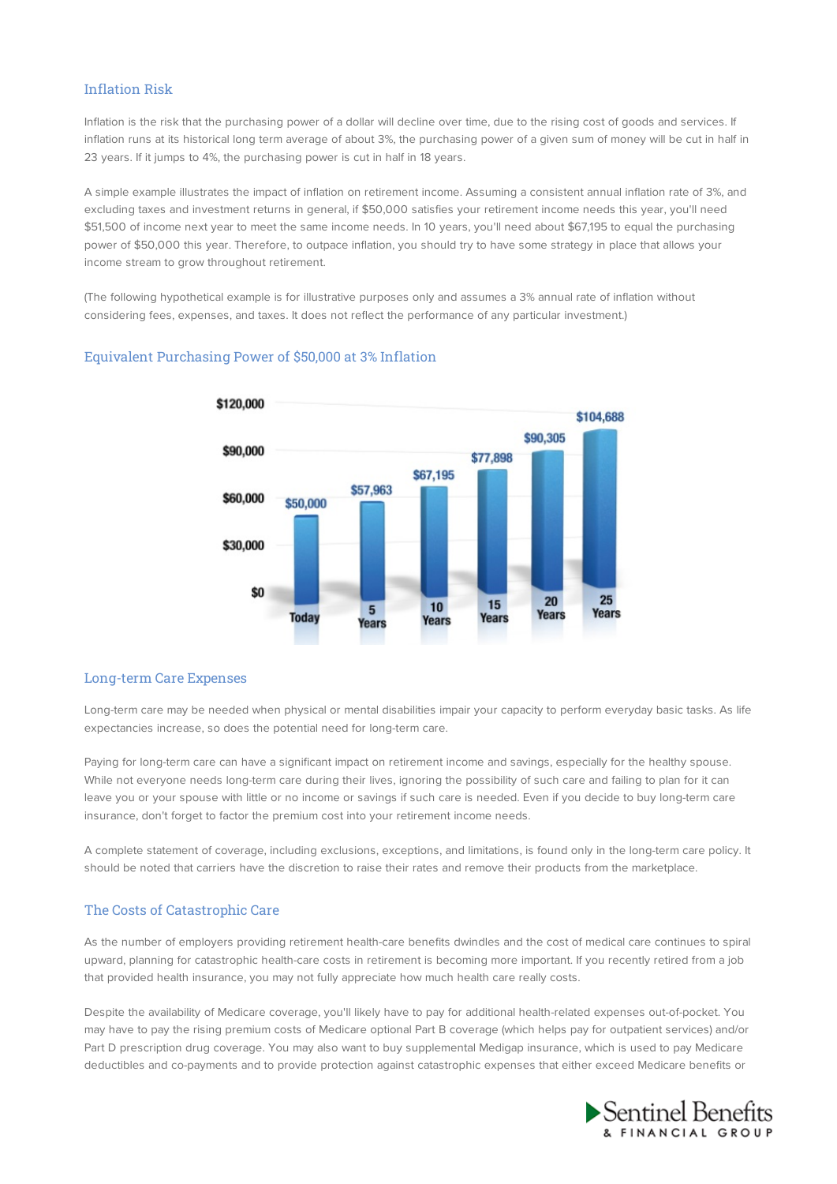## Inflation Risk

Inflation is the risk that the purchasing power of a dollar will decline over time, due to the rising cost of goods and services. If inflation runs at its historical long term average of about 3%, the purchasing power of a given sum of money will be cut in half in 23 years. If it jumps to 4%, the purchasing power is cut in half in 18 years.

A simple example illustrates the impact of inflation on retirement income. Assuming a consistent annual inflation rate of 3%, and excluding taxes and investment returns in general, if \$50,000 satisfies your retirement income needs this year, you'll need \$51,500 of income next year to meet the same income needs. In 10 years, you'll need about \$67,195 to equal the purchasing power of \$50,000 this year. Therefore, to outpace inflation, you should try to have some strategy in place that allows your income stream to grow throughout retirement.

(The following hypothetical example is for illustrative purposes only and assumes a 3% annual rate of inflation without considering fees, expenses, and taxes. It does not reflect the performance of any particular investment.)

## Equivalent Purchasing Power of \$50,000 at 3% Inflation



#### Long-term Care Expenses

Long-term care may be needed when physical or mental disabilities impair your capacity to perform everyday basic tasks. As life expectancies increase, so does the potential need for long-term care.

Paying for long-term care can have a significant impact on retirement income and savings, especially for the healthy spouse. While not everyone needs long-term care during their lives, ignoring the possibility of such care and failing to plan for it can leave you or your spouse with little or no income or savings if such care is needed. Even if you decide to buy long-term care insurance, don't forget to factor the premium cost into your retirement income needs.

A complete statement of coverage, including exclusions, exceptions, and limitations, is found only in the long-term care policy. It should be noted that carriers have the discretion to raise their rates and remove their products from the marketplace.

## The Costs of Catastrophic Care

As the number of employers providing retirement health-care benefits dwindles and the cost of medical care continues to spiral upward, planning for catastrophic health-care costs in retirement is becoming more important. If you recently retired from a job that provided health insurance, you may not fully appreciate how much health care really costs.

Despite the availability of Medicare coverage, you'll likely have to pay for additional health-related expenses out-of-pocket. You may have to pay the rising premium costs of Medicare optional Part B coverage (which helps pay for outpatient services) and/or Part D prescription drug coverage. You may also want to buy supplemental Medigap insurance, which is used to pay Medicare deductibles and co-payments and to provide protection against catastrophic expenses that either exceed Medicare benefits or